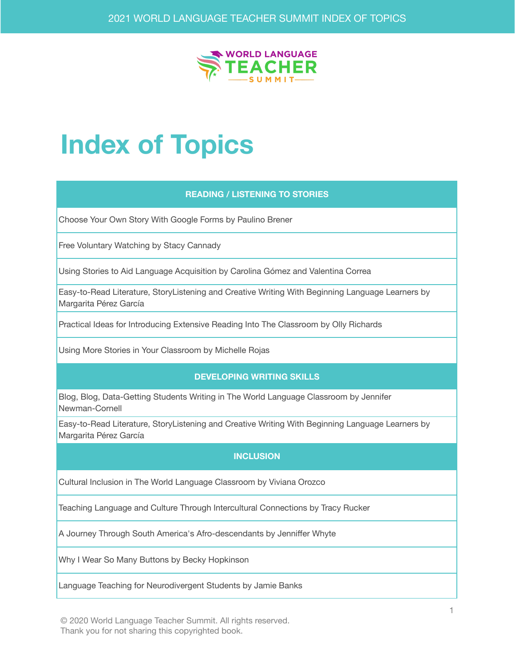

# **Index of Topics**

#### **READING / LISTENING TO STORIES**

Choose Your Own Story With Google Forms by Paulino Brener

Free Voluntary Watching by Stacy Cannady

Using Stories to Aid Language Acquisition by Carolina Gómez and Valentina Correa

Easy-to-Read Literature, StoryListening and Creative Writing With Beginning Language Learners by Margarita Pérez García

Practical Ideas for Introducing Extensive Reading Into The Classroom by Olly Richards

Using More Stories in Your Classroom by Michelle Rojas

#### **DEVELOPING WRITING SKILLS**

Blog, Blog, Data-Getting Students Writing in The World Language Classroom by Jennifer Newman-Cornell

Easy-to-Read Literature, StoryListening and Creative Writing With Beginning Language Learners by Margarita Pérez García

## **INCLUSION**

Cultural Inclusion in The World Language Classroom by Viviana Orozco

Teaching Language and Culture Through Intercultural Connections by Tracy Rucker

A Journey Through South America's Afro-descendants by Jenniffer Whyte

Why I Wear So Many Buttons by Becky Hopkinson

Language Teaching for Neurodivergent Students by Jamie Banks

© 2020 World Language Teacher Summit. All rights reserved. Thank you for not sharing this copyrighted book.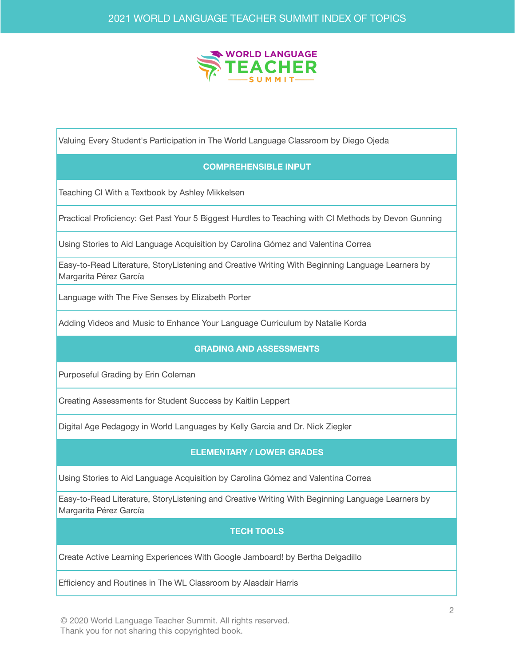

Valuing Every Student's Participation in The World Language Classroom by Diego Ojeda

## **COMPREHENSIBLE INPUT**

Teaching CI With a Textbook by Ashley Mikkelsen

Practical Proficiency: Get Past Your 5 Biggest Hurdles to Teaching with CI Methods by Devon Gunning

Using Stories to Aid Language Acquisition by Carolina Gómez and Valentina Correa

Easy-to-Read Literature, StoryListening and Creative Writing With Beginning Language Learners by Margarita Pérez García

Language with The Five Senses by Elizabeth Porter

Adding Videos and Music to Enhance Your Language Curriculum by Natalie Korda

#### **GRADING AND ASSESSMENTS**

Purposeful Grading by Erin Coleman

Creating Assessments for Student Success by Kaitlin Leppert

Digital Age Pedagogy in World Languages by Kelly Garcia and Dr. Nick Ziegler

#### **ELEMENTARY / LOWER GRADES**

Using Stories to Aid Language Acquisition by Carolina Gómez and Valentina Correa

Easy-to-Read Literature, StoryListening and Creative Writing With Beginning Language Learners by Margarita Pérez García

#### **TECH TOOLS**

Create Active Learning Experiences With Google Jamboard! by Bertha Delgadillo

Efficiency and Routines in The WL Classroom by Alasdair Harris

© 2020 World Language Teacher Summit. All rights reserved. Thank you for not sharing this copyrighted book.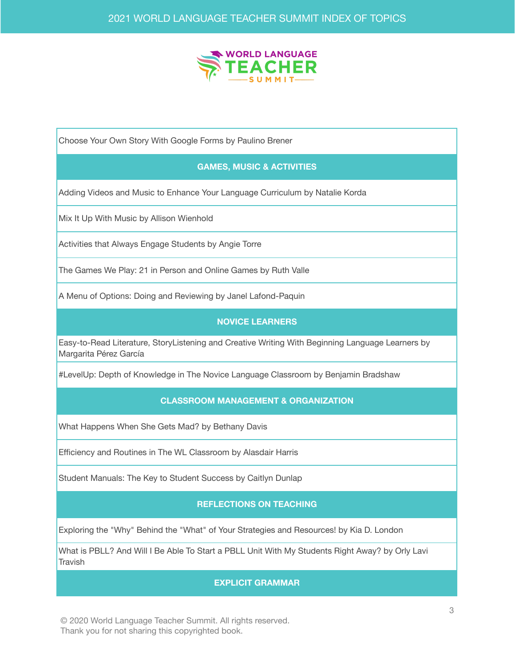

Choose Your Own Story With Google Forms by Paulino Brener

## **GAMES, MUSIC & ACTIVITIES**

Adding Videos and Music to Enhance Your Language Curriculum by Natalie Korda

Mix It Up With Music by Allison Wienhold

Activities that Always Engage Students by Angie Torre

The Games We Play: 21 in Person and Online Games by Ruth Valle

A Menu of Options: Doing and Reviewing by Janel Lafond-Paquin

### **NOVICE LEARNERS**

Easy-to-Read Literature, StoryListening and Creative Writing With Beginning Language Learners by Margarita Pérez García

#LevelUp: Depth of Knowledge in The Novice Language Classroom by Benjamin Bradshaw

## **CLASSROOM MANAGEMENT & ORGANIZATION**

What Happens When She Gets Mad? by Bethany Davis

Efficiency and Routines in The WL Classroom by Alasdair Harris

Student Manuals: The Key to Student Success by Caitlyn Dunlap

## **REFLECTIONS ON TEACHING**

Exploring the "Why" Behind the "What" of Your Strategies and Resources! by Kia D. London

What is PBLL? And Will I Be Able To Start a PBLL Unit With My Students Right Away? by Orly Lavi **Travish** 

#### **EXPLICIT GRAMMAR**

© 2020 World Language Teacher Summit. All rights reserved. Thank you for not sharing this copyrighted book.